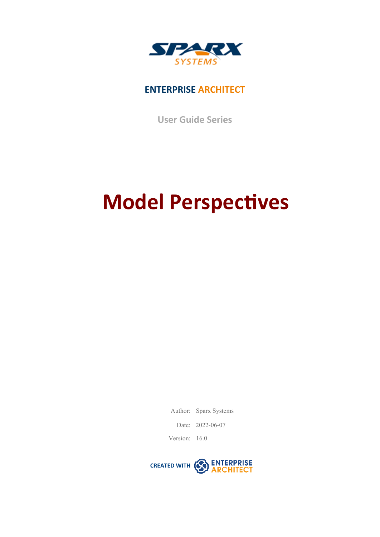

## **ENTERPRISE ARCHITECT**

**User Guide Series**

# **Model Perspectives**

Author: Sparx Systems

Date: 2022-06-07

Version: 16.0

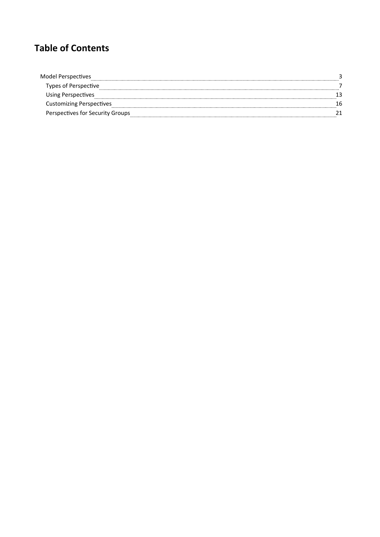## **Table of Contents**

| Model Perspectives               |  |
|----------------------------------|--|
| Types of Perspective             |  |
| Using Perspectives               |  |
| <b>Customizing Perspectives</b>  |  |
| Perspectives for Security Groups |  |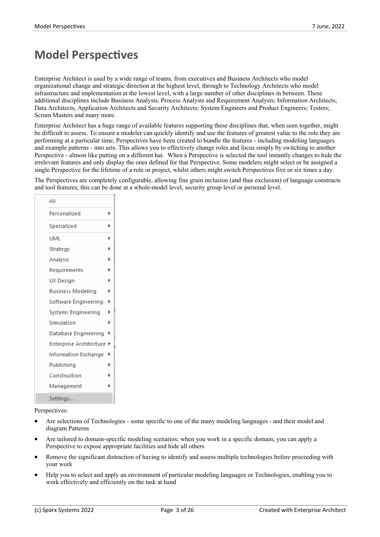# **Model Perspectives**

Enterprise Architect is used by a wide range of teams, from executives and Business Architects who model organizational change and strategic direction at the highestlevel, through to Technology Architects who model infrastructure and implementation at the lowest level, with a large number of other disciplines in between. These additional disciplines include Business Analysts, Process Analysts and Requirement Analysts; Information Architects, Data Architects, Application Architects and Security Architects; System Engineers and Product Engineers; Testers; Scrum Masters and many more.

Enterprise Architect has a huge range of available features supporting these disciplines that, when seen together, might be difficult to assess. To ensure a modeler can quickly identify and use the features of greatest value to the role they are performing at a particular time, Perspectives have been created to bundle the features - including modeling languages and example patterns - into sets. This allows you to effectively change roles and focus simply by switching to another Perspective - almost like putting on a different hat. When a Perspective is selected the tool instantly changes to hide the irrelevant features and only display the ones defined for that Perspective. Some modelers might select or be assigned a single Perspective for the lifetime of a role or project, whilst others might switch Perspectives five or six times a day.<br>The Perspectives are completely configurable, allowing fine grain inclusion (and thus exclusion) of

and tool features; this can be done ata whole-model level, security group level or personal level.

| All                            |   |
|--------------------------------|---|
| Personalized                   | Þ |
| Specialized                    | r |
| UML                            | Þ |
| Strategy                       | Þ |
| Analysis                       | Þ |
| Requirements                   | Þ |
| UX Design                      | Þ |
| <b>Business Modeling</b>       | Þ |
| Software Engineering           | Þ |
| Systems Engineering            | ь |
| Simulation                     | Þ |
| Database Engineering           | Þ |
| <b>Enterprise Architecture</b> | Þ |
| Information Exchange           | Þ |
| Publishing                     | Þ |
| Construction                   |   |
| Management                     |   |
| Settings                       |   |

Perspectives:

- Are selections of Technologies some specific to one of the many modeling languages and their model and diagram Patterns
- Are tailored to domain-specific modeling scenarios; when you work in a specific domain, you can apply a Perspective to expose appropriate facilities and hide all others
- Remove the significant distraction of having to identify and assess multiple technologies before proceeding with your work
- Help you to select and apply an environment of particular modeling languages or Technologies, enabling you to work effectively and efficiently on the task at hand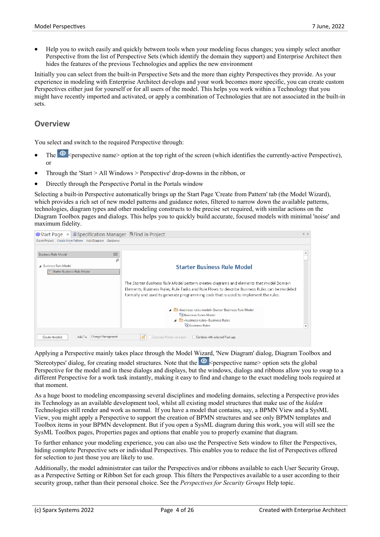· Help you to switch easily and quickly between tools when your modeling focus changes; you simply select another Perspective from the list of Perspective Sets (which identify the domain they support) and Enterprise Architect then hides the features of the previous Technologies and applies the new environment

Initially you can select from the built-in Perspective Sets and the more than eighty Perspectives they provide. As your experience in modeling with Enterprise Architect develops and your work becomes more specific, you can create custom Perspectives either just for yourself or for all users of the model. This helps you work within a Technology that you might have recently imported and activated, or apply a combination of Technologies that are not associated in the built-in sets.

#### **Overview**

You select and switch to the required Perspective through:

- · The <perspective name> option at the top right ofthe screen (which identifies the currently-active Perspective), or
- · Through the 'Start > All Windows > Perspective' drop-downs in the ribbon, or
- Directly through the Perspective Portal in the Portals window

Selecting a built-in Perspective automatically brings up the Start Page 'Create from Pattern' tab (the Model Wizard), which provides a rich set of new model patterns and guidance notes, filtered to narrow down the available patterns, technologies, diagram types and other modeling constructs to the precise set required, with similar action Diagram Toolbox pages and dialogs. This helps you to quickly build accurate, focused models with minimal 'noise' and maximum fidelity.

| $\circ$ Start Page $\times$ <b>E</b> Specification Manager <b>B</b> Find in Project |                                                                                                                                                                                                                                                                                 | $\triangleleft$ $\triangleright$ |
|-------------------------------------------------------------------------------------|---------------------------------------------------------------------------------------------------------------------------------------------------------------------------------------------------------------------------------------------------------------------------------|----------------------------------|
| Open Project Create from Pattern Add Diagram Guidance                               |                                                                                                                                                                                                                                                                                 |                                  |
|                                                                                     |                                                                                                                                                                                                                                                                                 |                                  |
| $\equiv$<br><b>Business Rule Model</b>                                              |                                                                                                                                                                                                                                                                                 |                                  |
| α<br>4 Business Rule Model<br>Starter Business Rule Model                           | <b>Starter Business Rule Model</b>                                                                                                                                                                                                                                              |                                  |
|                                                                                     | The Starter Business Rule Model pattern creates diagrams and elements that model Domain<br>Elements, Business Rules, Rule Tasks and Rule Flows to describe Business Rules can be modeled<br>formally and used to generate programming code that is used to implement the rules. |                                  |
|                                                                                     | A m «business rules model» Starter Business Rule Model<br>먹 Business Rules Model<br>A <b>Confidence</b> Susiness Rules<br><b>PRBusiness Rules</b>                                                                                                                               | $\overline{\phantom{a}}$         |
| Change Management<br>Add To:<br>Create Model(s)                                     | Customize Pattern on import<br>Combine with selected Package                                                                                                                                                                                                                    |                                  |

Applying a Perspective mainly takes place through the Model Wizard, 'New Diagram' dialog, Diagram Toolbox and 'Stereotypes' dialog, for creating model structures. Note that the  $\circledcirc$  <perspective name> option sets the global Perspective for the model and in these dialogs and displays, but the windows, dialogs and ribbons allow you to swap to a different Perspective for a work task instantly, making it easy to find and change to the exact modeling tools required at that moment.

As a huge boost to modeling encompassing several disciplines and modeling domains, selecting a Perspective provides its Technology as an available development tool, whilst all existing model structures that make use of the *hidden* Technologies still render and work as normal. If you have a model that contains, say, a BPMN View and a SysML View, you might apply a Perspective to support the creation of BPMN structures and see only BPMN templates and Toolbox items in your BPMN development. But if you open a SysML diagram during this work,you will still see the SysML Toolbox pages, Properties pages and options that enable you to properly examine that diagram.

To further enhance your modeling experience, you can also use the Perspective Sets window to filter the Perspectives, hiding complete Perspective sets or individual Perspectives. This enables you to reduce the list of Perspectives offered for selection to just those you are likely to use.

Additionally, the model administrator can tailor the Perspectives and/or ribbons available to each User Security Group, as a Perspective Setting or Ribbon Set for each group. This filters the Perspectives available to a user according to their security group, rather than their personal choice. See the *Perspectives for Security Groups* Help topic.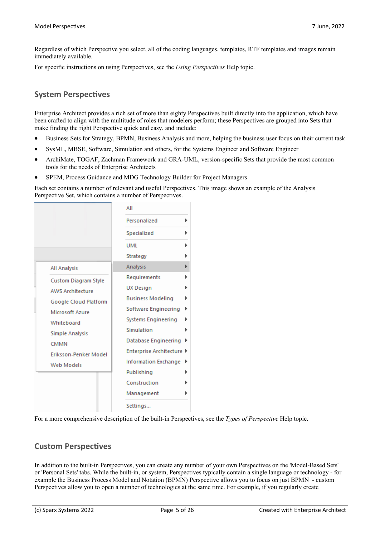Regardless ofwhich Perspective you select, all of the coding languages, templates, RTF templates and images remain immediately available.

For specific instructions on using Perspectives, see the *Using Perspectives* Help topic.

#### **System Perspectives**

Enterprise Architect provides a rich set of more than eighty Perspectives built directly into the application, which have been crafted to align with the multitude of roles that modelers perform; these Perspectives are grouped into Sets that make finding the right Perspective quick and easy, and include:

- Business Sets for Strategy, BPMN, Business Analysis and more, helping the business user focus on their current task
- · SysML, MBSE, Software, Simulation and others, for the Systems Engineer and Software Engineer
- · ArchiMate, TOGAF, Zachman Framework and GRA-UML, version-specific Sets that provide the most common tools for the needs of Enterprise Architects
- SPEM, Process Guidance and MDG Technology Builder for Project Managers

Each set contains a number of relevant and useful Perspectives. This image shows an example of the Analysis Perspective Set, which contains a number of Perspectives.

|                             | All                       |
|-----------------------------|---------------------------|
|                             | Personalized              |
|                             | Specialized               |
|                             | UMI                       |
|                             | Strategy                  |
| <b>All Analysis</b>         | Analysis                  |
| <b>Custom Diagram Style</b> | Requirements              |
| <b>AWS Architecture</b>     | <b>UX Design</b>          |
| Google Cloud Platform       | <b>Business Modeling</b>  |
| Microsoft Azure             | Software Engineering      |
| Whiteboard                  | Systems Engineering       |
| <b>Simple Analysis</b>      | Simulation                |
| CMMN                        | Database Engineering      |
| Eriksson-Penker Model       | Enterprise Architecture ▶ |
| <b>Web Models</b>           | Information Exchange      |
|                             | Publishing                |
|                             | Construction              |
|                             | Management                |
|                             | Settings                  |
|                             |                           |

For a more comprehensive description of the built-in Perspectives, see the *Types of Perspective* Help topic.

#### **Custom Perspectives**

In addition to the built-in Perspectives, you can create any number of your own Perspectives on the 'Model-Based Sets' or 'Personal Sets' tabs. While the built-in, or system, Perspectives typically contain a single language or technology - for example the Business Process Model and Notation (BPMN) Perspective allows you to focus on just BPMN - custom Perspectives allow you to open a number of technologies at the same time. For example, if you regularly create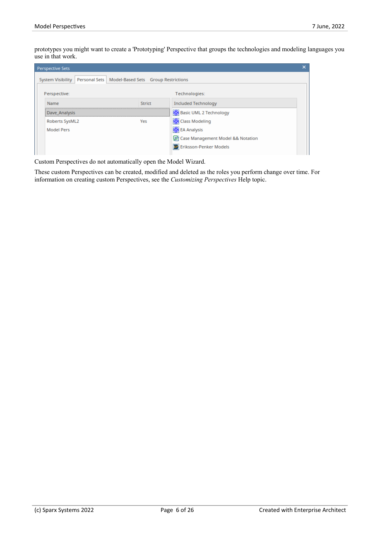prototypes you might want to create a 'Prototyping' Perspective that groups the technologies and modeling languages you use in that work.

| <b>Perspective Sets</b>                                                   |        |                                     |  |
|---------------------------------------------------------------------------|--------|-------------------------------------|--|
| System Visibility   Personal Sets   Model-Based Sets   Group Restrictions |        |                                     |  |
| Perspective:                                                              |        | Technologies:                       |  |
| Name                                                                      | Strict | <b>Included Technology</b>          |  |
| Dave Analysis                                                             |        | Basic UML 2 Technology              |  |
| Roberts SysML2                                                            | Yes    | Class Modeling                      |  |
| <b>Model Pers</b>                                                         |        | <b>B</b> EA Analysis                |  |
|                                                                           |        | 등 Case Management Model && Notation |  |
|                                                                           |        | EF Eriksson-Penker Models           |  |

Custom Perspectives do not automatically open the Model Wizard.

These custom Perspectives can be created, modified and deleted as the roles you perform change over time. For information on creating custom Perspectives, see the *Customizing Perspectives* Help topic.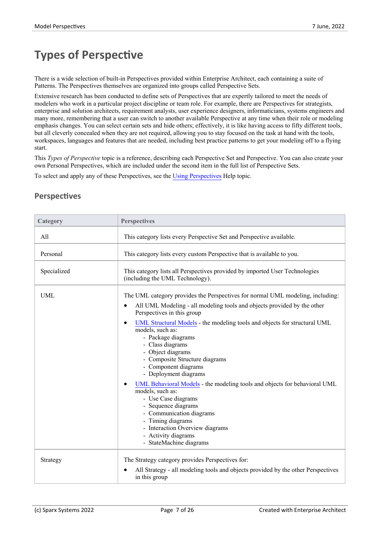# **Types of Perspective**

There is a wide selection of built-in Perspectives provided within Enterprise Architect, each containing a suite of Patterns. The Perspectives themselves are organized into groups called Perspective Sets.

Extensive research has been conducted to define sets of Perspectives that are expertly tailored to meet the needs of modelers who work in a particular project discipline or team role. For example, there are Perspectives for strategists, enterprise and solution architects, requirement analysts, user experience designers, informaticians, systems engineers and many more, remembering that a user can switch to another available Perspective at any time when their role or modeling emphasis changes. You can select certain sets and hide others; effectively, it is like having access to fifty different tools, but all cleverly concealed when they are not required, allowing you to stay focused on the task at hand with the tools, workspaces, languages and features that are needed, including best practice patterns to get your modeling off to a flying start.

This *Types of Perspective* topic is a reference, describing each Perspective Set and Perspective. You can also create your own Personal Perspectives, which are included under the second item in the full listof Perspective Sets.

To select and apply any of these Perspectives, see the Using [Perspectives](https://sparxsystems.com/enterprise_architect_user_guide/16.0/using_perspectives.htm) Help topic.

| Category    | <b>Perspectives</b>                                                                                                                                                                                                                                                                                                                                                                                                                        |
|-------------|--------------------------------------------------------------------------------------------------------------------------------------------------------------------------------------------------------------------------------------------------------------------------------------------------------------------------------------------------------------------------------------------------------------------------------------------|
| All         | This category lists every Perspective Set and Perspective available.                                                                                                                                                                                                                                                                                                                                                                       |
| Personal    | This category lists every custom Perspective that is available to you.                                                                                                                                                                                                                                                                                                                                                                     |
| Specialized | This category lists all Perspectives provided by imported User Technologies<br>(including the UML Technology).                                                                                                                                                                                                                                                                                                                             |
| <b>UML</b>  | The UML category provides the Perspectives for normal UML modeling, including:<br>All UML Modeling - all modeling tools and objects provided by the other<br>Perspectives in this group<br>UML Structural Models - the modeling tools and objects for structural UML<br>models, such as:<br>- Package diagrams<br>- Class diagrams<br>- Object diagrams<br>- Composite Structure diagrams<br>- Component diagrams<br>- Deployment diagrams |
|             | UML Behavioral Models - the modeling tools and objects for behavioral UML<br>models, such as:<br>- Use Case diagrams<br>- Sequence diagrams<br>- Communication diagrams<br>- Timing diagrams<br>- Interaction Overview diagrams<br>- Activity diagrams<br>- StateMachine diagrams                                                                                                                                                          |
| Strategy    | The Strategy category provides Perspectives for:<br>All Strategy - all modeling tools and objects provided by the other Perspectives<br>in this group                                                                                                                                                                                                                                                                                      |

#### **Perspectives**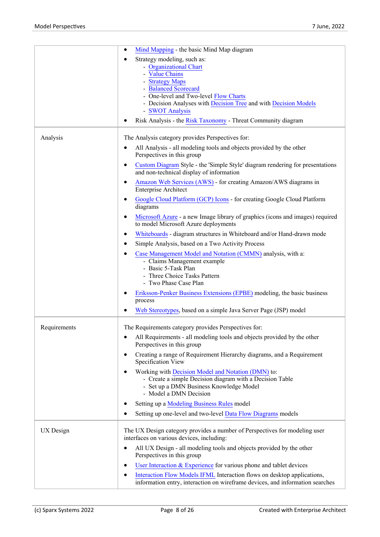|              | Mind Mapping - the basic Mind Map diagram<br>$\bullet$                                                                                                                                                                                                                                                                 |
|--------------|------------------------------------------------------------------------------------------------------------------------------------------------------------------------------------------------------------------------------------------------------------------------------------------------------------------------|
|              | Strategy modeling, such as:<br>٠<br>- Organizational Chart<br>- Value Chains<br>- Strategy Maps<br>- Balanced Scorecard<br>- One-level and Two-level Flow Charts<br>- Decision Analyses with Decision Tree and with Decision Models<br>- SWOT Analysis<br>Risk Analysis - the Risk Taxonomy - Threat Community diagram |
| Analysis     | The Analysis category provides Perspectives for:                                                                                                                                                                                                                                                                       |
|              | All Analysis - all modeling tools and objects provided by the other<br>Perspectives in this group                                                                                                                                                                                                                      |
|              | Custom Diagram Style - the 'Simple Style' diagram rendering for presentations<br>٠<br>and non-technical display of information                                                                                                                                                                                         |
|              | Amazon Web Services (AWS) - for creating Amazon/AWS diagrams in<br>٠<br><b>Enterprise Architect</b>                                                                                                                                                                                                                    |
|              | Google Cloud Platform (GCP) Icons - for creating Google Cloud Platform<br>٠<br>diagrams                                                                                                                                                                                                                                |
|              | Microsoft Azure - a new Image library of graphics (icons and images) required<br>$\bullet$<br>to model Microsoft Azure deployments                                                                                                                                                                                     |
|              | Whiteboards - diagram structures in Whiteboard and/or Hand-drawn mode<br>$\bullet$                                                                                                                                                                                                                                     |
|              | Simple Analysis, based on a Two Activity Process<br>$\bullet$                                                                                                                                                                                                                                                          |
|              | Case Management Model and Notation (CMMN) analysis, with a:<br>- Claims Management example<br>- Basic 5-Task Plan<br>- Three Choice Tasks Pattern<br>- Two Phase Case Plan                                                                                                                                             |
|              | Eriksson-Penker Business Extensions (EPBE) modeling, the basic business<br>٠<br>process                                                                                                                                                                                                                                |
|              | Web Stereotypes, based on a simple Java Server Page (JSP) model<br>$\bullet$                                                                                                                                                                                                                                           |
| Requirements | The Requirements category provides Perspectives for:                                                                                                                                                                                                                                                                   |
|              | All Requirements - all modeling tools and objects provided by the other<br>$\bullet$<br>Perspectives in this group                                                                                                                                                                                                     |
|              | Creating a range of Requirement Hierarchy diagrams, and a Requirement<br>٠<br>Specification View                                                                                                                                                                                                                       |
|              | Working with Decision Model and Notation (DMN) to:<br>$\bullet$<br>- Create a simple Decision diagram with a Decision Table<br>- Set up a DMN Business Knowledge Model<br>- Model a DMN Decision                                                                                                                       |
|              | Setting up a Modeling Business Rules model                                                                                                                                                                                                                                                                             |
|              | Setting up one-level and two-level Data Flow Diagrams models<br>€                                                                                                                                                                                                                                                      |
| UX Design    | The UX Design category provides a number of Perspectives for modeling user<br>interfaces on various devices, including:                                                                                                                                                                                                |
|              | All UX Design - all modeling tools and objects provided by the other<br>$\bullet$<br>Perspectives in this group                                                                                                                                                                                                        |
|              | User Interaction $&$ Experience for various phone and tablet devices<br>$\bullet$                                                                                                                                                                                                                                      |
|              | Interaction Flow Models IFML Interaction flows on desktop applications,<br>$\bullet$<br>information entry, interaction on wireframe devices, and information searches                                                                                                                                                  |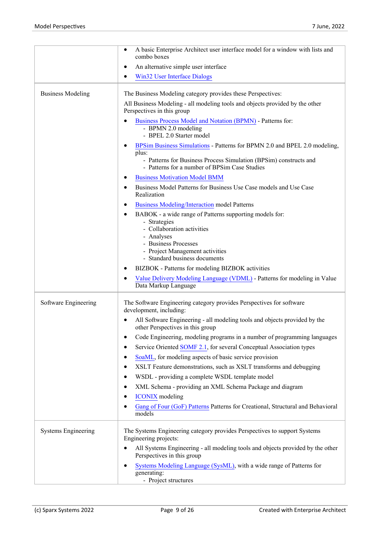|                            | A basic Enterprise Architect user interface model for a window with lists and<br>combo boxes                                                                                                                    |
|----------------------------|-----------------------------------------------------------------------------------------------------------------------------------------------------------------------------------------------------------------|
|                            | An alternative simple user interface                                                                                                                                                                            |
|                            | <b>Win32 User Interface Dialogs</b>                                                                                                                                                                             |
| <b>Business Modeling</b>   | The Business Modeling category provides these Perspectives:                                                                                                                                                     |
|                            | All Business Modeling - all modeling tools and objects provided by the other<br>Perspectives in this group                                                                                                      |
|                            | Business Process Model and Notation (BPMN) - Patterns for:<br>- BPMN 2.0 modeling<br>- BPEL 2.0 Starter model                                                                                                   |
|                            | BPSim Business Simulations - Patterns for BPMN 2.0 and BPEL 2.0 modeling,<br>plus:                                                                                                                              |
|                            | - Patterns for Business Process Simulation (BPSim) constructs and<br>- Patterns for a number of BPSim Case Studies                                                                                              |
|                            | <b>Business Motivation Model BMM</b>                                                                                                                                                                            |
|                            | Business Model Patterns for Business Use Case models and Use Case<br>Realization                                                                                                                                |
|                            | <b>Business Modeling/Interaction model Patterns</b>                                                                                                                                                             |
|                            | BABOK - a wide range of Patterns supporting models for:<br>- Strategies<br>- Collaboration activities<br>- Analyses<br>- Business Processes<br>- Project Management activities<br>- Standard business documents |
|                            | BIZBOK - Patterns for modeling BIZBOK activities                                                                                                                                                                |
|                            | Value Delivery Modeling Language (VDML) - Patterns for modeling in Value<br>Data Markup Language                                                                                                                |
| Software Engineering       | The Software Engineering category provides Perspectives for software<br>development, including:                                                                                                                 |
|                            | All Software Engineering - all modeling tools and objects provided by the<br>other Perspectives in this group                                                                                                   |
|                            | Code Engineering, modeling programs in a number of programming languages                                                                                                                                        |
|                            | Service Oriented SOMF 2.1, for several Conceptual Association types<br>٠                                                                                                                                        |
|                            | SoaML, for modeling aspects of basic service provision                                                                                                                                                          |
|                            | XSLT Feature demonstrations, such as XSLT transforms and debugging                                                                                                                                              |
|                            | WSDL - providing a complete WSDL template model                                                                                                                                                                 |
|                            | XML Schema - providing an XML Schema Package and diagram                                                                                                                                                        |
|                            | <b>ICONIX</b> modeling                                                                                                                                                                                          |
|                            | Gang of Four (GoF) Patterns Patterns for Creational, Structural and Behavioral<br>models                                                                                                                        |
| <b>Systems Engineering</b> | The Systems Engineering category provides Perspectives to support Systems<br>Engineering projects:                                                                                                              |
|                            | All Systems Engineering - all modeling tools and objects provided by the other<br>Perspectives in this group                                                                                                    |
|                            | Systems Modeling Language (SysML), with a wide range of Patterns for<br>generating:<br>- Project structures                                                                                                     |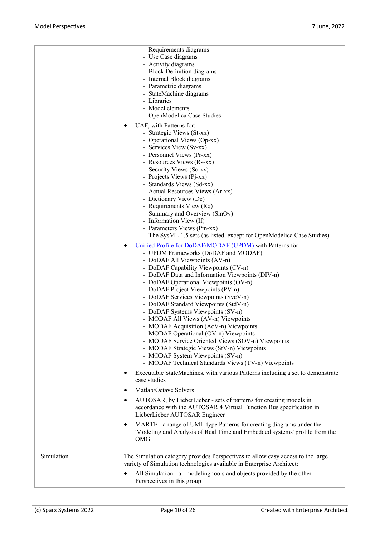|            | - Requirements diagrams<br>- Use Case diagrams<br>- Activity diagrams<br>- Block Definition diagrams<br>- Internal Block diagrams<br>- Parametric diagrams<br>- StateMachine diagrams<br>- Libraries<br>- Model elements<br>- OpenModelica Case Studies                                                                                                                                                                                                                                                                                                                                                                                                                                                                                                      |  |
|------------|--------------------------------------------------------------------------------------------------------------------------------------------------------------------------------------------------------------------------------------------------------------------------------------------------------------------------------------------------------------------------------------------------------------------------------------------------------------------------------------------------------------------------------------------------------------------------------------------------------------------------------------------------------------------------------------------------------------------------------------------------------------|--|
|            | UAF, with Patterns for:<br>- Strategic Views (St-xx)<br>- Operational Views (Op-xx)<br>- Services View (Sv-xx)<br>- Personnel Views (Pr-xx)<br>- Resources Views (Rs-xx)<br>- Security Views (Sc-xx)<br>- Projects Views (Pj-xx)<br>- Standards Views (Sd-xx)<br>- Actual Resources Views (Ar-xx)<br>- Dictionary View (Dc)<br>- Requirements View (Rq)<br>- Summary and Overview (SmOv)<br>- Information View (If)<br>- Parameters Views (Pm-xx)<br>- The SysML 1.5 sets (as listed, except for OpenModelica Case Studies)                                                                                                                                                                                                                                  |  |
|            | Unified Profile for DoDAF/MODAF (UPDM) with Patterns for:<br>٠<br>- UPDM Frameworks (DoDAF and MODAF)<br>- DoDAF All Viewpoints (AV-n)<br>- DoDAF Capability Viewpoints (CV-n)<br>- DoDAF Data and Information Viewpoints (DIV-n)<br>- DoDAF Operational Viewpoints (OV-n)<br>- DoDAF Project Viewpoints (PV-n)<br>- DoDAF Services Viewpoints (SvcV-n)<br>- DoDAF Standard Viewpoints (StdV-n)<br>- DoDAF Systems Viewpoints (SV-n)<br>- MODAF All Views (AV-n) Viewpoints<br>- MODAF Acquisition (AcV-n) Viewpoints<br>- MODAF Operational (OV-n) Viewpoints<br>- MODAF Service Oriented Views (SOV-n) Viewpoints<br>- MODAF Strategic Views (StV-n) Viewpoints<br>- MODAF System Viewpoints (SV-n)<br>- MODAF Technical Standards Views (TV-n) Viewpoints |  |
|            | Executable StateMachines, with various Patterns including a set to demonstrate<br>$\bullet$<br>case studies<br>Matlab/Octave Solvers<br>$\bullet$<br>AUTOSAR, by LieberLieber - sets of patterns for creating models in<br>$\bullet$                                                                                                                                                                                                                                                                                                                                                                                                                                                                                                                         |  |
|            | accordance with the AUTOSAR 4 Virtual Function Bus specification in<br>LieberLieber AUTOSAR Engineer<br>MARTE - a range of UML-type Patterns for creating diagrams under the<br>$\bullet$<br>'Modeling and Analysis of Real Time and Embedded systems' profile from the<br>OMG                                                                                                                                                                                                                                                                                                                                                                                                                                                                               |  |
| Simulation | The Simulation category provides Perspectives to allow easy access to the large<br>variety of Simulation technologies available in Enterprise Architect:<br>All Simulation - all modeling tools and objects provided by the other<br>Perspectives in this group                                                                                                                                                                                                                                                                                                                                                                                                                                                                                              |  |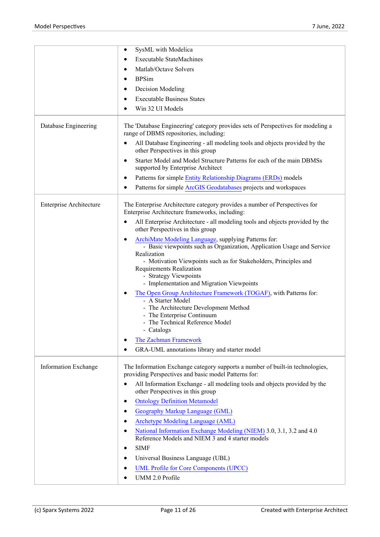|                         | SysML with Modelica<br>٠                                                                                                                                                                                                                                                                                                                                                                                                                                                                                                                                                                                                                                                          |
|-------------------------|-----------------------------------------------------------------------------------------------------------------------------------------------------------------------------------------------------------------------------------------------------------------------------------------------------------------------------------------------------------------------------------------------------------------------------------------------------------------------------------------------------------------------------------------------------------------------------------------------------------------------------------------------------------------------------------|
|                         | <b>Executable StateMachines</b>                                                                                                                                                                                                                                                                                                                                                                                                                                                                                                                                                                                                                                                   |
|                         | Matlab/Octave Solvers<br>٠                                                                                                                                                                                                                                                                                                                                                                                                                                                                                                                                                                                                                                                        |
|                         | <b>BPSim</b><br>٠                                                                                                                                                                                                                                                                                                                                                                                                                                                                                                                                                                                                                                                                 |
|                         | Decision Modeling<br>٠                                                                                                                                                                                                                                                                                                                                                                                                                                                                                                                                                                                                                                                            |
|                         | <b>Executable Business States</b><br>٠                                                                                                                                                                                                                                                                                                                                                                                                                                                                                                                                                                                                                                            |
|                         | Win 32 UI Models                                                                                                                                                                                                                                                                                                                                                                                                                                                                                                                                                                                                                                                                  |
| Database Engineering    | The 'Database Engineering' category provides sets of Perspectives for modeling a<br>range of DBMS repositories, including:                                                                                                                                                                                                                                                                                                                                                                                                                                                                                                                                                        |
|                         | All Database Engineering - all modeling tools and objects provided by the<br>٠<br>other Perspectives in this group                                                                                                                                                                                                                                                                                                                                                                                                                                                                                                                                                                |
|                         | Starter Model and Model Structure Patterns for each of the main DBMSs<br>$\bullet$<br>supported by Enterprise Architect                                                                                                                                                                                                                                                                                                                                                                                                                                                                                                                                                           |
|                         | Patterns for simple Entity Relationship Diagrams (ERDs) models<br>$\bullet$                                                                                                                                                                                                                                                                                                                                                                                                                                                                                                                                                                                                       |
|                         | Patterns for simple ArcGIS Geodatabases projects and workspaces<br>٠                                                                                                                                                                                                                                                                                                                                                                                                                                                                                                                                                                                                              |
| Enterprise Architecture | The Enterprise Architecture category provides a number of Perspectives for<br>Enterprise Architecture frameworks, including:                                                                                                                                                                                                                                                                                                                                                                                                                                                                                                                                                      |
|                         | All Enterprise Architecture - all modeling tools and objects provided by the<br>٠<br>other Perspectives in this group                                                                                                                                                                                                                                                                                                                                                                                                                                                                                                                                                             |
|                         | ArchiMate Modeling Language, supplying Patterns for:<br>- Basic viewpoints such as Organization, Application Usage and Service<br>Realization<br>- Motivation Viewpoints such as for Stakeholders, Principles and<br><b>Requirements Realization</b><br>- Strategy Viewpoints<br>- Implementation and Migration Viewpoints                                                                                                                                                                                                                                                                                                                                                        |
|                         | The Open Group Architecture Framework (TOGAF), with Patterns for:<br>- A Starter Model<br>- The Architecture Development Method<br>- The Enterprise Continuum<br>- The Technical Reference Model<br>- Catalogs<br>The Zachman Framework<br>$\bullet$<br>GRA-UML annotations library and starter model<br>$\bullet$                                                                                                                                                                                                                                                                                                                                                                |
| Information Exchange    | The Information Exchange category supports a number of built-in technologies,<br>providing Perspectives and basic model Patterns for:<br>All Information Exchange - all modeling tools and objects provided by the<br>$\bullet$<br>other Perspectives in this group<br><b>Ontology Definition Metamodel</b><br>$\bullet$<br>Geography Markup Language (GML)<br>٠<br>Archetype Modeling Language (AML)<br>$\bullet$<br>National Information Exchange Modeling (NIEM) 3.0, 3.1, 3.2 and 4.0<br>$\bullet$<br>Reference Models and NIEM 3 and 4 starter models<br><b>SIMF</b><br>$\bullet$<br>Universal Business Language (UBL)<br><b>UML Profile for Core Components (UPCC)</b><br>٠ |
|                         | UMM 2.0 Profile<br>$\bullet$                                                                                                                                                                                                                                                                                                                                                                                                                                                                                                                                                                                                                                                      |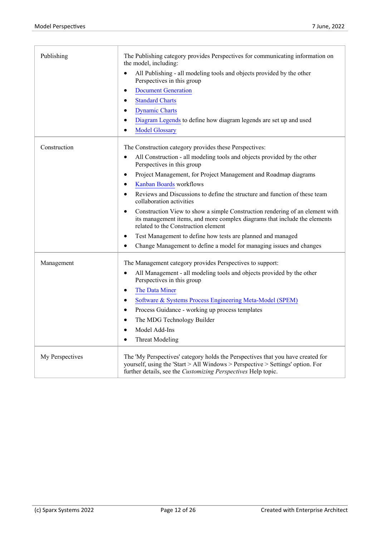| Publishing<br>The Publishing category provides Perspectives for communicating information on<br>the model, including:                                                                                                                                 |  |
|-------------------------------------------------------------------------------------------------------------------------------------------------------------------------------------------------------------------------------------------------------|--|
| All Publishing - all modeling tools and objects provided by the other<br>$\bullet$<br>Perspectives in this group                                                                                                                                      |  |
| <b>Document Generation</b><br>$\bullet$                                                                                                                                                                                                               |  |
| <b>Standard Charts</b><br>$\bullet$                                                                                                                                                                                                                   |  |
| <b>Dynamic Charts</b><br>$\bullet$                                                                                                                                                                                                                    |  |
| Diagram Legends to define how diagram legends are set up and used<br>$\bullet$                                                                                                                                                                        |  |
| <b>Model Glossary</b><br>$\bullet$                                                                                                                                                                                                                    |  |
| Construction<br>The Construction category provides these Perspectives:                                                                                                                                                                                |  |
| All Construction - all modeling tools and objects provided by the other<br>$\bullet$<br>Perspectives in this group                                                                                                                                    |  |
| Project Management, for Project Management and Roadmap diagrams<br>$\bullet$                                                                                                                                                                          |  |
| Kanban Boards workflows<br>$\bullet$                                                                                                                                                                                                                  |  |
| Reviews and Discussions to define the structure and function of these team<br>$\bullet$<br>collaboration activities                                                                                                                                   |  |
| Construction View to show a simple Construction rendering of an element with<br>$\bullet$<br>its management items, and more complex diagrams that include the elements<br>related to the Construction element                                         |  |
| Test Management to define how tests are planned and managed<br>$\bullet$                                                                                                                                                                              |  |
| Change Management to define a model for managing issues and changes<br>$\bullet$                                                                                                                                                                      |  |
| Management<br>The Management category provides Perspectives to support:                                                                                                                                                                               |  |
| All Management - all modeling tools and objects provided by the other<br>$\bullet$<br>Perspectives in this group                                                                                                                                      |  |
| The Data Miner<br>$\bullet$                                                                                                                                                                                                                           |  |
| Software & Systems Process Engineering Meta-Model (SPEM)<br>$\bullet$                                                                                                                                                                                 |  |
| Process Guidance - working up process templates<br>$\bullet$                                                                                                                                                                                          |  |
| The MDG Technology Builder<br>$\bullet$                                                                                                                                                                                                               |  |
| Model Add-Ins<br>$\bullet$                                                                                                                                                                                                                            |  |
| <b>Threat Modeling</b><br>$\bullet$                                                                                                                                                                                                                   |  |
| The 'My Perspectives' category holds the Perspectives that you have created for<br>My Perspectives<br>yourself, using the 'Start > All Windows > Perspective > Settings' option. For<br>further details, see the Customizing Perspectives Help topic. |  |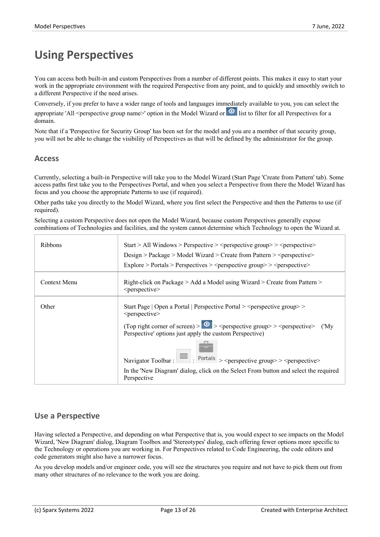# **Using Perspectives**

You can access both built-in and custom Perspectives from a number of different points. This makes it easy to start your work in the appropriate environment with the required Perspective from any point, and to quickly and smoothly switch to a different Perspective if the need arises.

Conversely, if you prefer to have a wider range of tools and languages immediately available to you, you can select the appropriate 'All <perspective group name>' option in the Model Wizard or  $\bullet$  list to filter for all Perspectives for a domain.

Note that if a 'Perspective for Security Group' has been set for the model and you are a member of that security group, you will not be able to change the visibility of Perspectives as that will be defined by the administrator for the group.

#### **Access**

Currently, selecting a built-in Perspective will take you to the Model Wizard (Start Page 'Create from Pattern' tab). Some access paths first take you to the Perspectives Portal, and when you select a Perspective from there the Model Wizard has focus and you choose the appropriate Patterns to use (if required).

Other paths take you directly to the Model Wizard, where you first select the Perspective and then the Patterns to use (if required).

Selecting a custom Perspective does not open the Model Wizard, because custom Perspectives generally expose combinations ofTechnologies and facilities, and the system cannot determine which Technology to open the Wizard at.

| <b>Ribbons</b> | Start > All Windows > Perspective > <perspective group=""> &gt; <perspective></perspective></perspective>                                                                                                                                                            |
|----------------|----------------------------------------------------------------------------------------------------------------------------------------------------------------------------------------------------------------------------------------------------------------------|
|                | Design > Package > Model Wizard > Create from Pattern > < perspective >                                                                                                                                                                                              |
|                | Explore > Portals > Perspectives > <perspective group=""> <perspective></perspective></perspective>                                                                                                                                                                  |
| Context Menu   | Right-click on Package > Add a Model using Wizard > Create from Pattern ><br><perspective></perspective>                                                                                                                                                             |
| Other          | Start Page   Open a Portal   Perspective Portal > <perspective group=""> &gt;<br/><perspective><br/>(Top right corner of screen) &gt; <math>\circ</math> &gt; <perspective group=""> &gt; <perspective> ('My</perspective></perspective></perspective></perspective> |
|                | Perspective' options just apply the custom Perspective)<br>Navigator Toolbar: $\boxed{\equiv}$ Portals > <perspective group="">&gt; <perspective></perspective></perspective>                                                                                        |
|                | In the 'New Diagram' dialog, click on the Select From button and select the required<br>Perspective                                                                                                                                                                  |

#### **Use a Perspective**

Having selected a Perspective, and depending on what Perspective that is, you would expect to see impacts on the Model Wizard, 'New Diagram' dialog, Diagram Toolbox and'Stereotypes' dialog, each offering fewer options more specific to the Technology or operations you are working in. For Perspectives related to Code Engineering, the code editors and code generators might also have a narrower focus.

As you develop models and/or engineer code, you will see the structures you require and not have to pick them out from many other structures of no relevance to the work you are doing.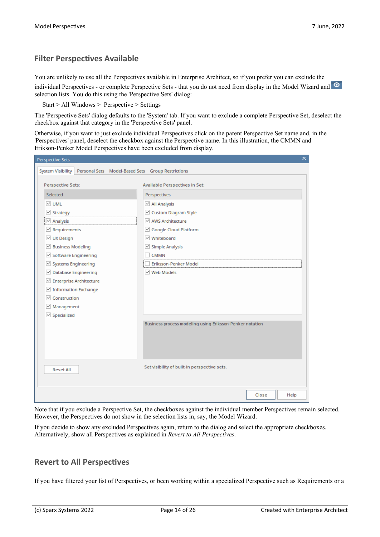#### **Filter Perspectives Available**

You are unlikely to use all the Perspectives available in Enterprise Architect, so if you prefer you can exclude the individual Perspectives - or complete Perspective Sets - that you do not need from display in the Model Wizard and selection lists. You do this using the 'Perspective Sets' dialog:

Start > All Windows > Perspective > Settings

The 'Perspective Sets' dialog defaults to the 'System' tab. If you want to exclude a complete Perspective Set, deselect the checkbox against that category in the 'Perspective Sets' panel.

Otherwise, if you want to just exclude individual Perspectives click on the parent Perspective Set name and, in the 'Perspectives' panel, deselect the checkbox against the Perspective name. In this illustration, the CMMN and Erikson-Penker Model Perspectives have been excluded from display.

| Perspective Sets                                                          | ×                                                        |
|---------------------------------------------------------------------------|----------------------------------------------------------|
| System Visibility   Personal Sets   Model-Based Sets   Group Restrictions |                                                          |
|                                                                           |                                                          |
| Perspective Sets:                                                         | Available Perspectives in Set:                           |
| Selected                                                                  | Perspectives                                             |
| $\vee$ UML                                                                | $\vee$ All Analysis                                      |
| $\vee$ Strategy                                                           | ○ Custom Diagram Style                                   |
| $\vee$ Analysis                                                           | ☑ AWS Architecture                                       |
| $\vee$ Requirements                                                       | Google Cloud Platform                                    |
| $\vee$ UX Design                                                          | √ Whiteboard                                             |
| $\vee$ Business Modeling                                                  | $\vee$ Simple Analysis                                   |
| $\vee$ Software Engineering                                               | <b>CMMN</b>                                              |
| Systems Engineering                                                       | Eriksson-Penker Model                                    |
| ☑ Database Engineering                                                    | √ Web Models                                             |
| ☑ Enterprise Architecture                                                 |                                                          |
| $\vee$ Information Exchange                                               |                                                          |
| $\triangledown$ Construction                                              |                                                          |
| $\vee$ Management                                                         |                                                          |
| $\vee$ Specialized                                                        |                                                          |
|                                                                           | Business process modeling using Eriksson-Penker notation |
|                                                                           |                                                          |
|                                                                           |                                                          |
|                                                                           |                                                          |
|                                                                           |                                                          |
| <b>Reset All</b>                                                          | Set visibility of built-in perspective sets.             |
|                                                                           |                                                          |
|                                                                           |                                                          |
|                                                                           | Help<br>Close                                            |
|                                                                           |                                                          |

Note that if you exclude a Perspective Set, the checkboxes against the individual member Perspectives remain selected. However, the Perspectives do not show in the selection lists in, say, the Model Wizard.

If you decide to show any excluded Perspectives again, return to the dialog and select the appropriate checkboxes. Alternatively, show all Perspectives as explained in *Revert to All Perspectives*.

#### **Revert to All Perspectives**

If you have filtered your list of Perspectives, or been working within a specialized Perspective such as Requirements ora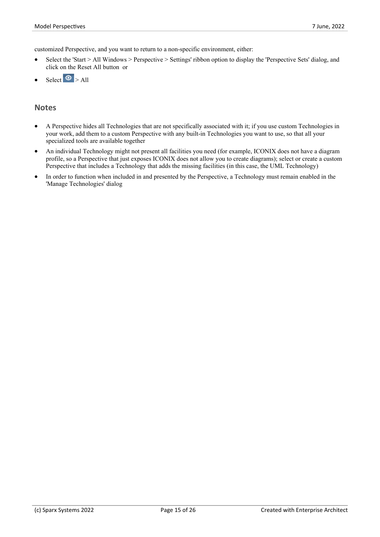customized Perspective, and you want to return to a non-specific environment, either:

- Select the 'Start > All Windows > Perspective > Settings' ribbon option to display the 'Perspective Sets' dialog, and click on the Reset All button or
- $S<sub>elect</sub>$   $\odot$   $>$  All

#### **Notes**

- · A Perspective hides all Technologies that are not specifically associated with it; if you use custom Technologies in your work, add them to a custom Perspective with any built-in Technologies you want to use, so that all your specialized tools are available together
- · An individual Technology might not present all facilities you need (for example, ICONIX does not have a diagram profile, so a Perspective that just exposes ICONIX does not allow you to create diagrams); select or create a custom Perspective that includes a Technology that adds the missing facilities (in this case, the UML Technology)
- In order to function when included in and presented by the Perspective, a Technology must remain enabled in the 'Manage Technologies' dialog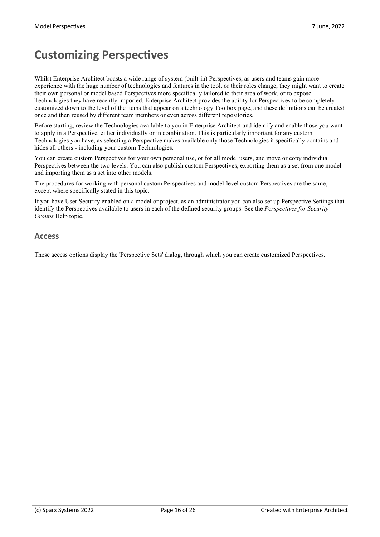# **Customizing Perspectives**

Whilst Enterprise Architect boasts a wide range of system (built-in) Perspectives, as users and teams gain more experience with the huge number of technologies and features in the tool, or their roles change, they might want to create their own personal or model based Perspectives more specifically tailored to their area of work, or to expose Technologies they have recently imported. Enterprise Architect provides the ability for Perspectives to be completely customized down to the level of the items that appear on a technology Toolbox page, and these definitions can be created once and then reused by different team members oreven across different repositories.

Before starting, review the Technologies available to you in Enterprise Architect and identify and enable those you want to apply in a Perspective, either individually or in combination. This is particularly important for any custom Technologies you have, as selecting a Perspective makes available only those Technologies it specifically contains and hides all others - including your custom Technologies.

You can create custom Perspectives for your own personal use, or for all model users, and move or copy individual Perspectives between the two levels. You can also publish custom Perspectives, exporting them as a set from one model and importing them as a set into other models.

The procedures for working with personal custom Perspectives and model-level custom Perspectives are the same, except where specifically stated in this topic.

If you have User Security enabled on a model or project, as an administrator you can also set up Perspective Settings that identify the Perspectives available to users in each ofthe defined security groups. See the *Perspectives for Security Groups* Help topic.

#### **Access**

These access options display the 'Perspective Sets' dialog, through which you can create customized Perspectives.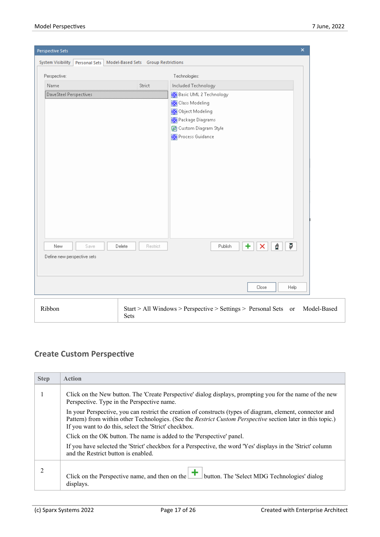| Perspective Sets                                                           |                    |                                                                                                                                                                 | $\pmb{\times}$ |  |
|----------------------------------------------------------------------------|--------------------|-----------------------------------------------------------------------------------------------------------------------------------------------------------------|----------------|--|
| System Visibility<br>Personal Sets   Model-Based Sets   Group Restrictions |                    |                                                                                                                                                                 |                |  |
| Perspective:                                                               |                    | Technologies:                                                                                                                                                   |                |  |
| Name                                                                       | Strict             | Included Technology                                                                                                                                             |                |  |
| DaveSteel Perspectives<br>Save<br>New<br>Define new perspective sets       | Delete<br>Restrict | Basic UML 2 Technology<br>Class Modeling<br>Object Modeling<br>Package Diagrams<br>Gift Custom Diagram Style<br>Process Guidance<br>Ģ<br>÷<br>₫<br>Publish<br>× |                |  |
|                                                                            |                    |                                                                                                                                                                 |                |  |
|                                                                            |                    | Help<br>Close                                                                                                                                                   |                |  |
| Ribbon                                                                     |                    | Start > All Windows > Perspective > Settings > Personal Sets or                                                                                                 | Model-Based    |  |

## **Create Custom Perspective**

Sets

| <b>Step</b> | <b>Action</b>                                                                                                                                                                                                                                                                      |
|-------------|------------------------------------------------------------------------------------------------------------------------------------------------------------------------------------------------------------------------------------------------------------------------------------|
|             | Click on the New button. The 'Create Perspective' dialog displays, prompting you for the name of the new<br>Perspective. Type in the Perspective name.                                                                                                                             |
|             | In your Perspective, you can restrict the creation of constructs (types of diagram, element, connector and<br>Pattern) from within other Technologies. (See the Restrict Custom Perspective section later in this topic.)<br>If you want to do this, select the 'Strict' checkbox. |
|             | Click on the OK button. The name is added to the 'Perspective' panel.                                                                                                                                                                                                              |
|             | If you have selected the 'Strict' checkbox for a Perspective, the word 'Yes' displays in the 'Strict' column<br>and the Restrict button is enabled.                                                                                                                                |
|             | Click on the Perspective name, and then on the $\left  \right $<br>button. The 'Select MDG Technologies' dialog<br>displays.                                                                                                                                                       |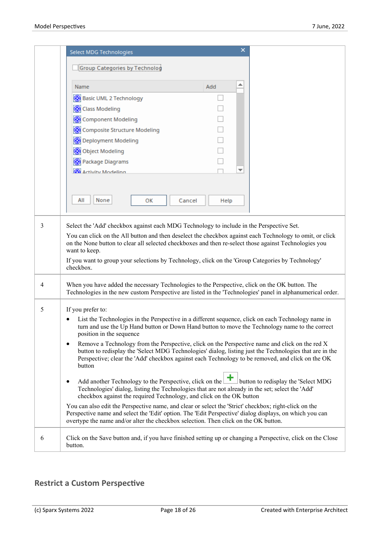|   | <b>Select MDG Technologies</b>                                                                                                                                                                                                                                                                                                                       | ×        |  |
|---|------------------------------------------------------------------------------------------------------------------------------------------------------------------------------------------------------------------------------------------------------------------------------------------------------------------------------------------------------|----------|--|
|   | Group Categories by Technolog                                                                                                                                                                                                                                                                                                                        |          |  |
|   | Name                                                                                                                                                                                                                                                                                                                                                 | ▲<br>Add |  |
|   | Basic UML 2 Technology                                                                                                                                                                                                                                                                                                                               |          |  |
|   | Class Modeling                                                                                                                                                                                                                                                                                                                                       |          |  |
|   | Component Modeling                                                                                                                                                                                                                                                                                                                                   |          |  |
|   | Composite Structure Modeling                                                                                                                                                                                                                                                                                                                         |          |  |
|   | Deployment Modeling                                                                                                                                                                                                                                                                                                                                  |          |  |
|   | <b>Object Modeling</b>                                                                                                                                                                                                                                                                                                                               |          |  |
|   | Package Diagrams                                                                                                                                                                                                                                                                                                                                     |          |  |
|   | <b>Activity Modeling</b>                                                                                                                                                                                                                                                                                                                             | ▼        |  |
|   |                                                                                                                                                                                                                                                                                                                                                      |          |  |
|   | All<br>None<br>OK<br>Cancel                                                                                                                                                                                                                                                                                                                          | Help     |  |
|   |                                                                                                                                                                                                                                                                                                                                                      |          |  |
|   | You can click on the All button and then deselect the checkbox against each Technology to omit, or click<br>on the None button to clear all selected checkboxes and then re-select those against Technologies you<br>want to keep.<br>If you want to group your selections by Technology, click on the 'Group Categories by Technology'<br>checkbox. |          |  |
| 4 | When you have added the necessary Technologies to the Perspective, click on the OK button. The<br>Technologies in the new custom Perspective are listed in the 'Technologies' panel in alphanumerical order.                                                                                                                                         |          |  |
|   | If you prefer to:                                                                                                                                                                                                                                                                                                                                    |          |  |
| 5 | List the Technologies in the Perspective in a different sequence, click on each Technology name in<br>٠<br>turn and use the Up Hand button or Down Hand button to move the Technology name to the correct<br>position in the sequence                                                                                                                |          |  |
|   | Remove a Technology from the Perspective, click on the Perspective name and click on the red X<br>$\bullet$<br>button to redisplay the 'Select MDG Technologies' dialog, listing just the Technologies that are in the<br>Perspective; clear the 'Add' checkbox against each Technology to be removed, and click on the OK<br>button                 |          |  |
|   | Add another Technology to the Perspective, click on the <b>+</b> button to redisplay the 'Select MDG<br>$\bullet$<br>Technologies' dialog, listing the Technologies that are not already in the set; select the 'Add'<br>checkbox against the required Technology, and click on the OK button                                                        |          |  |
|   | You can also edit the Perspective name, and clear or select the 'Strict' checkbox; right-click on the<br>Perspective name and select the 'Edit' option. The 'Edit Perspective' dialog displays, on which you can<br>overtype the name and/or alter the checkbox selection. Then click on the OK button.                                              |          |  |
| 6 | Click on the Save button and, if you have finished setting up or changing a Perspective, click on the Close<br>button.                                                                                                                                                                                                                               |          |  |

## **Restrict a Custom Perspective**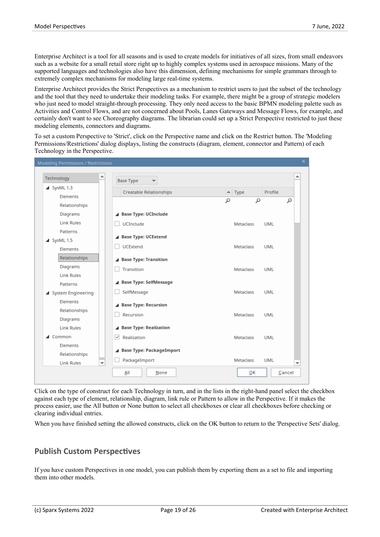Enterprise Architect is a tool for all seasons and is used to create models for initiatives of all sizes, from small endeavors such as a website for a small retail store right up to highly complex systems used in aerospace missions. Many of the supported languages and technologies also have this dimension, defining mechanisms for simple grammars through to extremely complex mechanisms for modeling large real-time systems.<br>Enterprise Architect provides the Strict Perspectives as a mechanism to restrict users to just the subset of the technology

and the tool that they need to undertake their modeling tasks. For example, there might be a group of strategic modelers who just need to model straight-through processing. They only need access to the basic BPMN modeling palette such as Activities and Control Flows, and are not concerned about Pools, Lanes Gateways and Message Flows, for example, and certainly don't want to see Choreography diagrams. The librarian could set up a Strict Perspective restricted to just these modeling elements, connectors and diagrams.

To set a custom Perspective to 'Strict', click on the Perspective name and click on the Restrict button. The 'Modeling Permissions/Restrictions' dialog displays, listing the constructs (diagram, element, connector and Pattern) of each Technology in the Perspective.

| Technology                                    | <b>Base Type</b>               |   |                       |            |   |
|-----------------------------------------------|--------------------------------|---|-----------------------|------------|---|
| $\triangle$ SysML 1.3                         | <b>Creatable Relationships</b> |   | $\blacktriangle$ Type | Profile    |   |
| <b>Elements</b>                               |                                | α | م                     |            | α |
| Relationships                                 |                                |   |                       |            |   |
| Diagrams                                      | <b>Base Type: UCInclude</b>    |   |                       |            |   |
| <b>Link Rules</b>                             | <b>UCInclude</b>               |   | Metaclass             | <b>UML</b> |   |
| Patterns                                      |                                |   |                       |            |   |
| ▲ SysML 1.5                                   | <b>Base Type: UCExtend</b>     |   |                       |            |   |
| Elements                                      | <b>UCExtend</b>                |   | Metaclass             | UMI        |   |
| Relationships                                 | <b>Base Type: Transition</b>   |   |                       |            |   |
| Diagrams                                      | Transition                     |   | Metaclass             | <b>UML</b> |   |
| <b>Link Rules</b>                             |                                |   |                       |            |   |
| Patterns                                      | Base Type: SelfMessage         |   |                       |            |   |
| ▲ System Engineering                          | SelfMessage                    |   | <b>Metaclass</b>      | <b>UML</b> |   |
| <b>Elements</b>                               | <b>Base Type: Recursion</b>    |   |                       |            |   |
| Relationships                                 | Recursion                      |   | Metaclass             | UMI        |   |
| Diagrams                                      |                                |   |                       |            |   |
| <b>Link Rules</b>                             | <b>Base Type: Realization</b>  |   |                       |            |   |
| $\triangle$ Common                            | $\vee$ Realization             |   | Metaclass             | <b>UML</b> |   |
| Elements                                      |                                |   |                       |            |   |
| Relationships                                 | ▲ Base Type: PackageImport     |   |                       |            |   |
| <b>Link Rules</b><br>$\overline{\phantom{a}}$ | PackageImport                  |   | Metaclass             | <b>UML</b> |   |

Click on the type of construct for each Technology in turn, and in the lists in the right-hand panel select the checkbox against each type of element, relationship, diagram, link rule or Pattern to allow in the Perspective. If it makes the process easier, use the All button or None button to select all checkboxes orclear all checkboxes before checking or clearing individual entries.

When you have finished setting the allowed constructs, click on the OK button to return to the 'Perspective Sets' dialog.

#### **Publish Custom Perspectives**

If you have custom Perspectives in one model, you can publish them by exportingthem as a set to file and importing them into other models.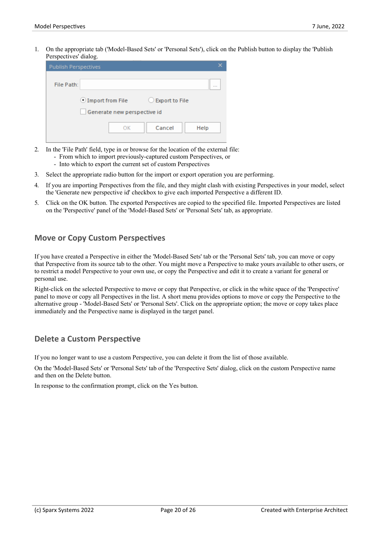1. On the appropriate tab ('Model-Based Sets' or'Personal Sets'), click on the Publish button to display the 'Publish Perspectives' dialog.

| <b>Publish Perspectives</b> |                                              |  |
|-----------------------------|----------------------------------------------|--|
| File Path:                  |                                              |  |
|                             | $\odot$ Import from File<br>C Export to File |  |
|                             | Generate new perspective id                  |  |
|                             | Cancel<br>OK<br>Help                         |  |

- 2. In the 'File Path' field, type in or browse for the location of the external file:
	- From which to import previously-captured custom Perspectives, or
	- Into which to export the current set of custom Perspectives
- 3. Select the appropriate radio button for the import or export operation you are performing.
- 4. If you are importing Perspectives from the file, and they might clash with existing Perspectives in your model, select the 'Generate new perspective id' checkbox to give each imported Perspective a different ID.
- 5. Click on the OK button. The exported Perspectives are copied to the specified file. Imported Perspectives are listed on the 'Perspective' panel of the 'Model-Based Sets' or'Personal Sets' tab, as appropriate.

#### **Move or Copy Custom Perspectives**

If you have created a Perspective in either the 'Model-Based Sets' tab or the 'Personal Sets' tab, you can move or copy that Perspective from its source tab to the other. You might move a Perspective to make yours available to other users, or to restrict a model Perspective to your own use, or copy the Perspective and edit it to create a variant for general or personal use.

Right-click on the selected Perspective to move or copy that Perspective, or click in the white space of the 'Perspective' panel to move or copy all Perspectives in the list. A short menu provides options to move or copy the Perspective to the alternative group - 'Model-Based Sets' or'Personal Sets'. Click on the appropriate option;the move or copy takes place immediately and the Perspective name is displayed in the target panel.

#### **Delete a Custom Perspective**

If you no longer want to use a custom Perspective, you can delete it from the list of those available.

On the 'Model-Based Sets' or'Personal Sets' tab of the 'Perspective Sets' dialog, click on the custom Perspective name and then on the Delete button.

In response to the confirmation prompt, click on the Yes button.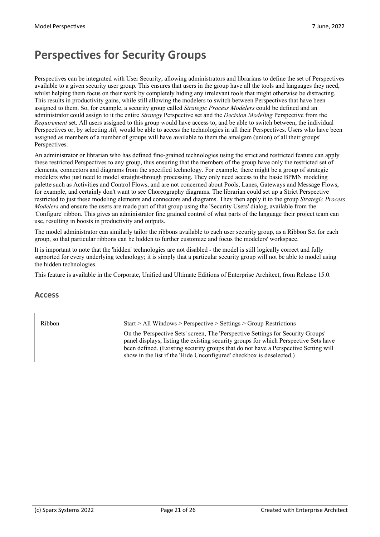# **Perspectives for Security Groups**

Perspectives can be integrated with User Security, allowing administrators and librarians to define the set of Perspectives available to a given security user group. This ensures that users in the group have all the tools and languages they need, whilst helping them focus on their work by completely hiding any irrelevant tools that might otherwise be distracting. This results in productivity gains, while still allowing the modelers to switch between Perspectives that have been assigned to them. So, for example, a security group called *Strategic Process Modelers* could be defined and an administrator could assign to it the entire *Strategy* Perspective set and the *Decision Modeling* Perspective from the *Requirement* set. All users assigned to this group would have access to, and be able to switch between, the individual Perspectives or, by selecting *All*, would be able to access the technologies in all their Perspectives. Users who have been assigned as members of a number of groups will have available to them the amalgam (union) of all their groups' Perspectives.

An administrator or librarian who has defined fine-grained technologies using the strict and restricted feature can apply these restricted Perspectives to any group, thus ensuring that the members of the group have only the restricted set of elements, connectors and diagrams from the specified technology. For example, there might be a group of strategic modelers who just need to model straight-through processing.They only need access to the basic BPMN modeling palette such as Activities and Control Flows, and are not concerned about Pools, Lanes, Gateways and Message Flows, for example, and certainly don't want to see Choreography diagrams. The librarian could set up a Strict Perspective restricted to just these modeling elements and connectors and diagrams. They then apply it to the group *Strategic Process Modelers* and ensure the users are made part of that group using the 'Security Users' dialog, available from the 'Configure' ribbon. This gives an administrator fine grained control of what parts of the language their project team can use, resulting in boosts in productivity and outputs.

The model administrator can similarly tailor the ribbons available to each user security group, as a Ribbon Set for each group, so that particular ribbons can be hidden to further customize and focus the modelers' workspace.

It is important to note that the 'hidden' technologies are not disabled - the model is still logically correct and fully supported for every underlying technology; it is simply that a particular security group will not be able to model using the hidden technologies.

This feature is available in the Corporate, Unified and Ultimate Editions of Enterprise Architect, from Release 15.0.

#### **Access**

| Ribbon | Start > All Windows > Perspective > Settings > Group Restrictions                    |
|--------|--------------------------------------------------------------------------------------|
|        | On the 'Perspective Sets' screen, The 'Perspective Settings for Security Groups'     |
|        | panel displays, listing the existing security groups for which Perspective Sets have |
|        | been defined. (Existing security groups that do not have a Perspective Setting will  |
|        | show in the list if the 'Hide Unconfigured' checkbox is deselected.)                 |
|        |                                                                                      |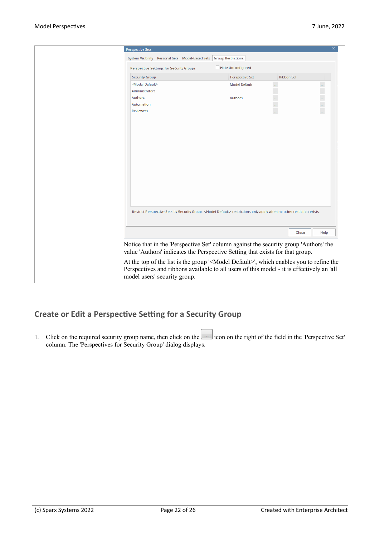| Perspective Sets                                                                                                                                                                                 |                           |                           | $\mathsf{x}$  |
|--------------------------------------------------------------------------------------------------------------------------------------------------------------------------------------------------|---------------------------|---------------------------|---------------|
| System Visibility Personal Sets Model-Based Sets                                                                                                                                                 | <b>Group Restrictions</b> |                           |               |
| Perspective Settings for Security Groups                                                                                                                                                         | Hide Unconfigured         |                           |               |
|                                                                                                                                                                                                  |                           |                           |               |
| <b>Security Group</b>                                                                                                                                                                            | Perspective Set           | <b>Ribbon Set</b>         |               |
| <model default=""></model>                                                                                                                                                                       | <b>Model Default</b>      | $\mathbb{I}^{\mathbb{I}}$ | $\cdots$      |
| Administrators                                                                                                                                                                                   |                           |                           | $\cdots$      |
| Authors                                                                                                                                                                                          | Authors                   | $\frac{1}{2}$             | $\frac{1}{2}$ |
| Automation                                                                                                                                                                                       |                           |                           |               |
| Reviewers                                                                                                                                                                                        |                           | m,                        | ă,            |
|                                                                                                                                                                                                  |                           |                           |               |
|                                                                                                                                                                                                  |                           |                           |               |
|                                                                                                                                                                                                  |                           |                           |               |
|                                                                                                                                                                                                  |                           |                           |               |
|                                                                                                                                                                                                  |                           |                           |               |
|                                                                                                                                                                                                  |                           |                           |               |
|                                                                                                                                                                                                  |                           |                           |               |
|                                                                                                                                                                                                  |                           |                           |               |
|                                                                                                                                                                                                  |                           |                           |               |
|                                                                                                                                                                                                  |                           |                           |               |
|                                                                                                                                                                                                  |                           |                           |               |
|                                                                                                                                                                                                  |                           |                           |               |
| Restrict Perspective Sets by Security Group. <model default=""> restrictions only apply when no other restiction exists.</model>                                                                 |                           |                           |               |
|                                                                                                                                                                                                  |                           | Close                     | Help          |
| Notice that in the 'Perspective Set' column against the security group 'Authors' the                                                                                                             |                           |                           |               |
| value 'Authors' indicates the Perspective Setting that exists for that group.                                                                                                                    |                           |                           |               |
| At the top of the list is the group ' <model default="">', which enables you to refine the<br/>Perspectives and ribbons available to all users of this model - it is effectively an 'all</model> |                           |                           |               |
| model users' security group.                                                                                                                                                                     |                           |                           |               |

### **Create or Edita Perspective Setting for a Security Group**

1. Click on the required security group name, then click on the icon on the right of the field in the 'Perspective Set' column. The 'Perspectives for Security Group' dialog displays.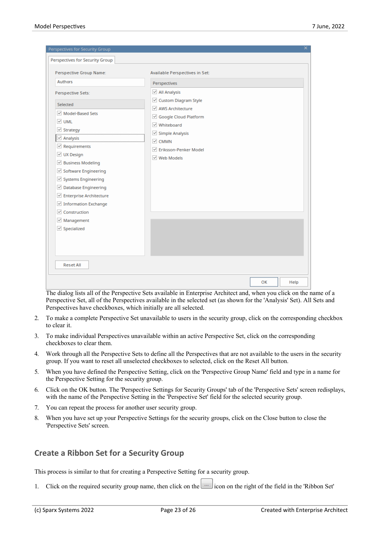| Perspectives for Security Group                                                                                                                                                                                                                                                                                                                                                                                                    | ×                                                                                                                                                                                                                                                       |
|------------------------------------------------------------------------------------------------------------------------------------------------------------------------------------------------------------------------------------------------------------------------------------------------------------------------------------------------------------------------------------------------------------------------------------|---------------------------------------------------------------------------------------------------------------------------------------------------------------------------------------------------------------------------------------------------------|
| Perspectives for Security Group                                                                                                                                                                                                                                                                                                                                                                                                    |                                                                                                                                                                                                                                                         |
| Perspective Group Name:<br>Authors<br>Perspective Sets:<br>Selected<br>Model-Based Sets<br>V UML<br>$\vee$ Strategy<br>$\vee$ Analysis<br>$\vee$ Requirements<br>$\vee$ UX Design<br>☑ Business Modeling<br>$\vee$ Software Engineering<br>$\vee$ Systems Engineering<br>$\vee$ Database Engineering<br>☑ Enterprise Architecture<br>$\vee$ Information Exchange<br>$\vee$ Construction<br>$\vee$ Management<br>$\vee$ Specialized | Available Perspectives in Set:<br>Perspectives<br>$\vee$ All Analysis<br>☑ Custom Diagram Style<br>√ AWS Architecture<br>Google Cloud Platform<br>√ Whiteboard<br>$\vee$ Simple Analysis<br>$\vee$ CMMN<br>▽ Eriksson-Penker Model<br>$\vee$ Web Models |
|                                                                                                                                                                                                                                                                                                                                                                                                                                    |                                                                                                                                                                                                                                                         |
| <b>Reset All</b>                                                                                                                                                                                                                                                                                                                                                                                                                   |                                                                                                                                                                                                                                                         |
|                                                                                                                                                                                                                                                                                                                                                                                                                                    | OK<br>Help                                                                                                                                                                                                                                              |

The dialog lists all of the Perspective Sets available in Enterprise Architect and, when you click on the name of a Perspective Set, all of the Perspectives available in the selected set (as shown for the 'Analysis' Set). All Sets and Perspectives have checkboxes, which initially are all selected.

- 2. To make a complete Perspective Set unavailable to users in the security group, click on the corresponding checkbox to clear it.
- 3. To make individual Perspectives unavailable within an active Perspective Set, click on the corresponding checkboxes to clear them.
- 4. Work through all the Perspective Sets to define all the Perspectives that are not available to the users in the security group. If you want to reset all unselected checkboxes to selected, click on the Reset All button.
- 5. When you have defined the Perspective Setting, click on the 'Perspective Group Name' field and type in a name for the Perspective Setting for the security group.
- 6. Click on the OK button. The 'Perspective Settings for Security Groups' tab of the 'Perspective Sets' screen redisplays, with the name of the Perspective Setting in the 'Perspective Set' field for the selected security group.
- 7. You can repeat the process for another user security group.
- 8. When you have set up your Perspective Settings for the security groups, click on the Close button to close the 'Perspective Sets' screen.

#### **Create a Ribbon Set for a Security Group**

This process is similar to that for creating a Perspective Setting for a security group.

1. Click on the required security group name, then click on the ight of the right of the field in the 'Ribbon Set'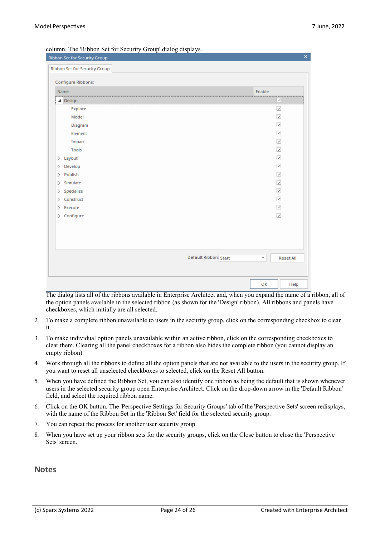| Ribbon Set for Security Group | $\mathsf{x}$                                 |
|-------------------------------|----------------------------------------------|
| Ribbon Set for Security Group |                                              |
| Configure Ribbons:            |                                              |
|                               |                                              |
| Name                          | Enable<br>                                   |
| ▲ Design                      | ✓                                            |
| Explore                       | $\overline{\checkmark}$                      |
| Model                         | $\overline{\checkmark}$                      |
| Diagram                       | $\checkmark$                                 |
| Element                       | $\checkmark$                                 |
| Impact                        | $\overline{\checkmark}$                      |
| Tools                         | $\checkmark$                                 |
| Layout<br>D                   | $\overline{\checkmark}$                      |
| Develop<br>D                  | $\overline{\checkmark}$                      |
| Publish<br>D                  | $\checkmark$                                 |
| Simulate<br>D                 | $\overline{\checkmark}$                      |
| Specialize<br>D               | $\overline{\checkmark}$                      |
| Construct<br>D                | $\checkmark$                                 |
| Execute<br>Þ                  | $\overline{\checkmark}$                      |
| $\triangleright$ Configure    | $\overline{\checkmark}$                      |
|                               |                                              |
|                               |                                              |
|                               |                                              |
|                               |                                              |
| Default Ribbon: Start         | <b>Reset All</b><br>$\overline{\phantom{a}}$ |
|                               |                                              |
|                               |                                              |
|                               | OK<br>Help                                   |

column. The 'Ribbon Set for Security Group' dialog displays.

The dialog lists all of the ribbons available in Enterprise Architect and, when you expand the name of a ribbon, all of the option panels available in the selected ribbon (as shown for the 'Design' ribbon). All ribbons and panels have checkboxes, which initially are all selected.

- 2. To make a complete ribbon unavailable to users in the security group, click on the corresponding checkbox to clear it.
- 3. To make individual option panels unavailable within an active ribbon, click on the corresponding checkboxes to clear them. Clearing all the panel checkboxes for a ribbon also hides the complete ribbon (you cannot display an empty ribbon).
- 4. Work through all the ribbons to define all the option panels that are not available to the users in the security group. If you want to reset all unselected checkboxes to selected, click on the Reset All button.
- 5. When you have defined the Ribbon Set, you can also identify one ribbon as being the default that is shown whenever users in the selected security group open Enterprise Architect. Click on the drop-down arrow in the 'Default Ribbon' field, and select the required ribbon name.
- 6. Click on the OK button. The 'Perspective Settings for Security Groups' tab of the 'Perspective Sets' screen redisplays, with the name of the Ribbon Set in the 'Ribbon Set' field for the selected security group.
- 7. You can repeat the process for another user security group.
- 8. When you have set up your ribbon sets forthe security groups, click on the Close button to close the 'Perspective Sets' screen.

#### **Notes**